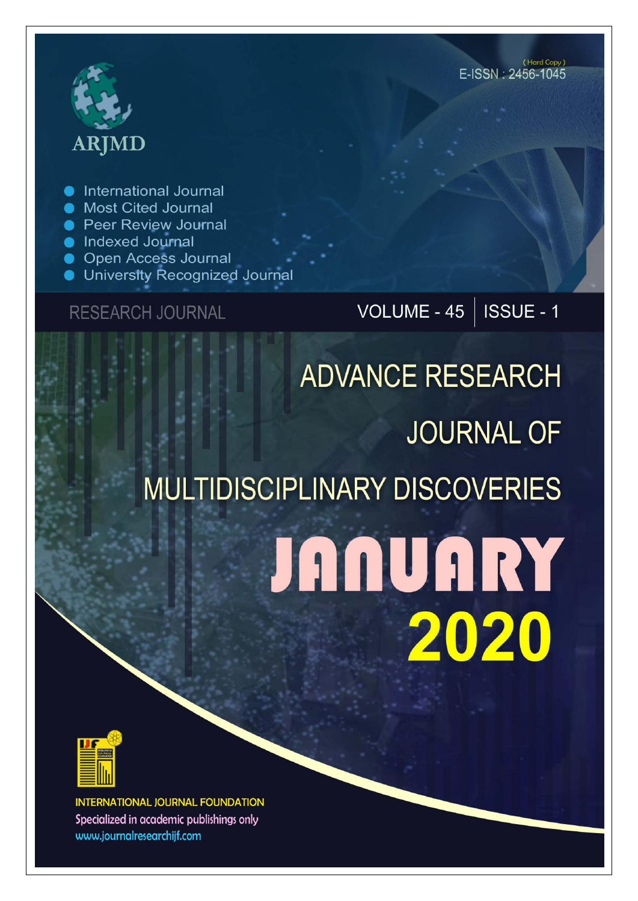## **ARJMD**

International Journal

- Most Cited Journal
- Peer Review Journal
- Indexed Journal
- **Open Access Journal**
- **University Recognized Journal**

## **RESEARCH JOURNAL**

## VOLUME -  $45$  | ISSUE - 1

# **ADVANCE RESEARCH JOURNAL OF MULTIDISCIPLINARY DISCOVERIES JANUARY** 2020



**INTERNATIONAL JOURNAL FOUNDATION** Specialized in academic publishings only www.journalresearchijf.com

(Hard Copy) E-ISSN: 2456-1045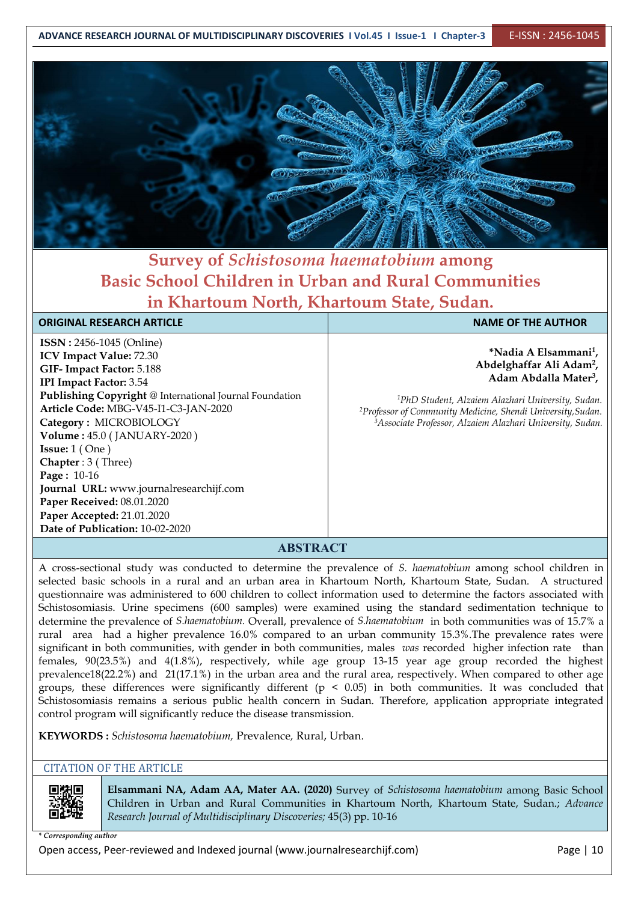

### **Survey of** *Schistosoma haematobium* **among Basic School Children in Urban and Rural Communities in Khartoum North, Khartoum State, Sudan.**

#### **ORIGINAL RESEARCH ARTICLE NAME OF THE AUTHOR**

**ISSN :** 2456-1045 (Online) **ICV Impact Value:** 72.30 **GIF- Impact Factor:** 5.188 **IPI Impact Factor:** 3.54 **Publishing Copyright** @ International Journal Foundation **Article Code:** MBG-V45-I1-C3-JAN-2020 **Category :** MICROBIOLOGY **Volume :** 45.0 (JANUARY-2020 ) **Issue:** 1 ( One ) **Chapter** : 3 ( Three) **Page :** 10-16 **Journal URL:** www.journalresearchijf.com **Paper Received:** 08.01.2020 **Paper Accepted:** 21.01.2020 **Date of Publication:** 10-02-2020

**\*Nadia A Elsammani 1 , Abdelghaffar Ali Adam<sup>2</sup> , Adam Abdalla Mater 3 ,**

*<sup>1</sup>PhD Student, Alzaiem Alazhari University, Sudan. <sup>2</sup>Professor of Community Medicine, Shendi University,Sudan. <sup>3</sup>Associate Professor, Alzaiem Alazhari University, Sudan.*

#### **ABSTRACT**

A cross-sectional study was conducted to determine the prevalence of *S. haematobium* among school children in selected basic schools in a rural and an urban area in Khartoum North, Khartoum State, Sudan. A structured questionnaire was administered to 600 children to collect information used to determine the factors associated with Schistosomiasis. Urine specimens (600 samples) were examined using the standard sedimentation technique to determine the prevalence of *S.haematobium.* Overall, prevalence of *S.haematobium* in both communities was of 15.7% a rural area had a higher prevalence 16.0% compared to an urban community 15.3%.The prevalence rates were significant in both communities, with gender in both communities, males *was* recorded higher infection rate than females, 90(23.5%) and 4(1.8%), respectively, while age group 13-15 year age group recorded the highest prevalence18(22.2%) and 21(17.1%) in the urban area and the rural area, respectively. When compared to other age groups, these differences were significantly different ( $p \le 0.05$ ) in both communities. It was concluded that Schistosomiasis remains a serious public health concern in Sudan. Therefore, application appropriate integrated control program will significantly reduce the disease transmission.

**KEYWORDS :** *Schistosoma haematobium,* Prevalence*,* Rural, Urban.

#### CITATION OF THE ARTICLE



**Elsammani NA, Adam AA, Mater AA. (2020)**Survey of *Schistosoma haematobium* among Basic School Children in Urban and Rural Communities in Khartoum North, Khartoum State, Sudan.; *Advance Research Journal of Multidisciplinary Discoveries;* 45(3) pp. 10-16

*\* Corresponding author*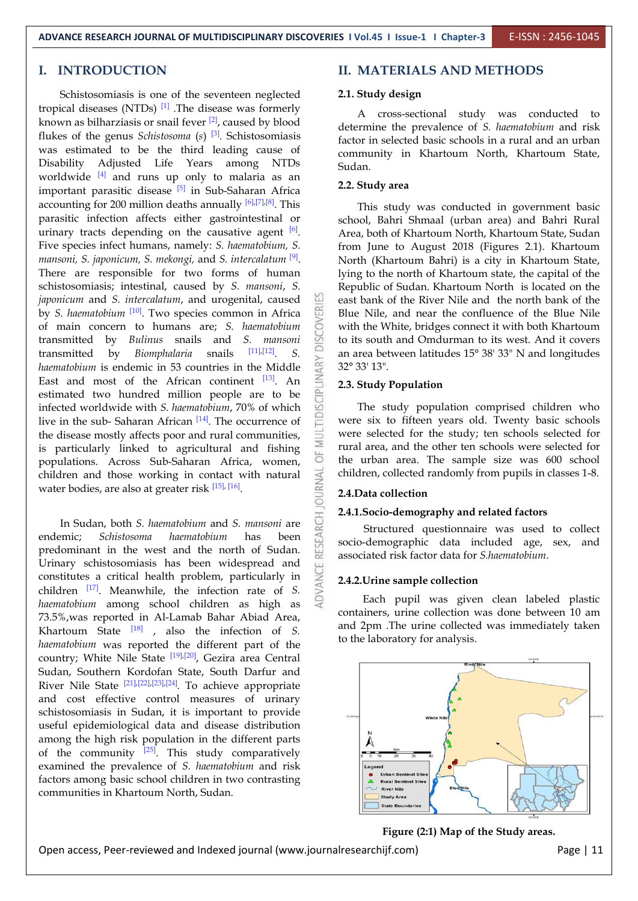#### **I. INTRODUCTION**

Schistosomiasis is one of the seventeen neglected tropical diseases (NTDs)  $^{[1]}$  .The disease was formerly known as bilharziasis or snail fever  $\left[2\right]$ , caused by blood determine the property flukes of the genus *Schistosoma* (*s*) <sup>[3]</sup>. Schistosomiasis factor in s was estimated to be the third leading cause of Disability Adjusted Life Years among NTDs worldwide  $[4]$  and runs up only to malaria as an  $\sim$  2.2.8.1 important parasitic disease <sup>[5]</sup> in Sub-Saharan Africa **1986.** 2.2. Study art accounting for 200 million deaths annually  $[6]$ , $[7]$ , $[8]$ . This  $\qquad$  This s parasitic infection affects either gastrointestinal or urinary tracts depending on the causative agent <sup>[6]</sup>. Ar Five species infect humans, namely: *S. haematobium, S. mansoni, S. japonicum, S. mekongi,* and *S. intercalatum* [9]. There are responsible for two forms of human schistosomiasis; intestinal, caused by *S. mansoni*, *S. japonicum* and *S. intercalatum*, and urogenital, caused by *S. haematobium* <sup>[10]</sup>. Two species common in Africa<br>of main concern to humans are; *S. haematobium*<br>transmitted by *Bulinus* snails and *S. mansoni* of main concern to humans are; *S. haematobium* transmitted by *Bulinus* snails and *S. mansoni* transmitted by *Biomphalaria* snails [11],[12]. *S. haematobium* is endemic in 53 countries in the Middle<br>
East and most of the African continent  $^{[13]}$ . An<br>
actimated two bundand million people are to be East and most of the African continent [13]. An estimated two hundred million people are to be infected worldwide with *S. haematobium*, 70% of which live in the sub-Saharan African  $[14]$ . The occurrence of  $\overline{\phantom{a}}$  were six the disease mostly affects poor and rural communities, is particularly linked to agricultural and fishing  $\frac{1}{10}$ populations. Across Sub-Saharan Africa, women, children and those working in contact with natural water bodies, are also at greater risk  $^{[15]$ ,  $[16]}$ .

In Sudan, both *S. haematobium* and *S. mansoni* are emic; *Schistosoma haematobium* has been **Solution**<br>dominant in the west and the north of Sudan. endemic; *Schistosoma haematobium* has been predominant in thewest and the north of Sudan. Urinary schistosomiasis has been widespread and constitutes a critical health problem, particularly in children  $\left[\begin{matrix}17\end{matrix}\right]$ . Meanwhile, the infection rate of *S*. *haematobium* among school children as high as 73.5%,was reported in Al-Lamab Bahar Abiad Area, Khartoum State <sup>[18]</sup>, also the infection of *S*. and 2pm *haematobium* was reported the different part of the country; White Nile State <sup>[19],[20]</sup>, Gezira area Central Sudan, Southern Kordofan State, South Darfur and River Nile State <sup>[21],[22],[23],[24]</sup>. To achieve appropriate and cost effective control measures of urinary schistosomiasis in Sudan, it is important to provide useful epidemiological data and disease distribution among the high risk population in the different parts of the community  $^{[25]}$ . This study comparatively  $\sqrt{\frac{25}{5}}$ examined the prevalence of *S. haematobium* and risk factors among basic school children in two contrasting communities in Khartoum North, Sudan.

#### **II. MATERIALS AND METHODS**

#### **2.1. Study design**

A cross-sectional study was conducted to determine the prevalence of *S. haematobium* and risk factor in selected basic schools in a rural and an urban community in Khartoum North, Khartoum State, Sudan.

#### **2.2. Study area**

This study was conducted in government basic school, Bahri Shmaal (urban area) and Bahri Rural Area, both of Khartoum North, Khartoum State, Sudan from June to August 2018 (Figures 2.1). Khartoum North (Khartoum Bahri) is a city in Khartoum State, lying to the north of Khartoum state, the capital of the Republic of Sudan. Khartoum North is located on the east bank of the River Nile and the north bank of the Blue Nile, and near the confluence of the Blue Nile with the White, bridges connect it with both Khartoum to its south and Omdurman to its west. And it covers an area between latitudes 15° 38' 33" N and longitudes 32° 33' 13".

### $\begin{array}{ll}\n\frac{1}{3} & \text{An} \\
\hline\n2.3. & \text{Study Population}\n\end{array}$

The study population comprised children who were six to fifteen years old. Twenty basic schools were selected for the study; ten schools selected for rural area, and the other ten schools were selected for the urban area. The sample size was 600 school children, collected randomly from pupils in classes 1-8.

#### **2.4.Data collection**

#### **2.4.1.Socio-demography and related factors**

Structured questionnaire was used to collect socio-demographic data included age, sex, and associated risk factor data for *S.haematobium*.

#### **2.4.2.Urine sample collection**

Each pupil was given clean labeled plastic containers, urine collection was done between 10 am and 2pm .The urine collected was immediately taken to the laboratory for analysis.



**Figure (2:1) Map of the Study areas.**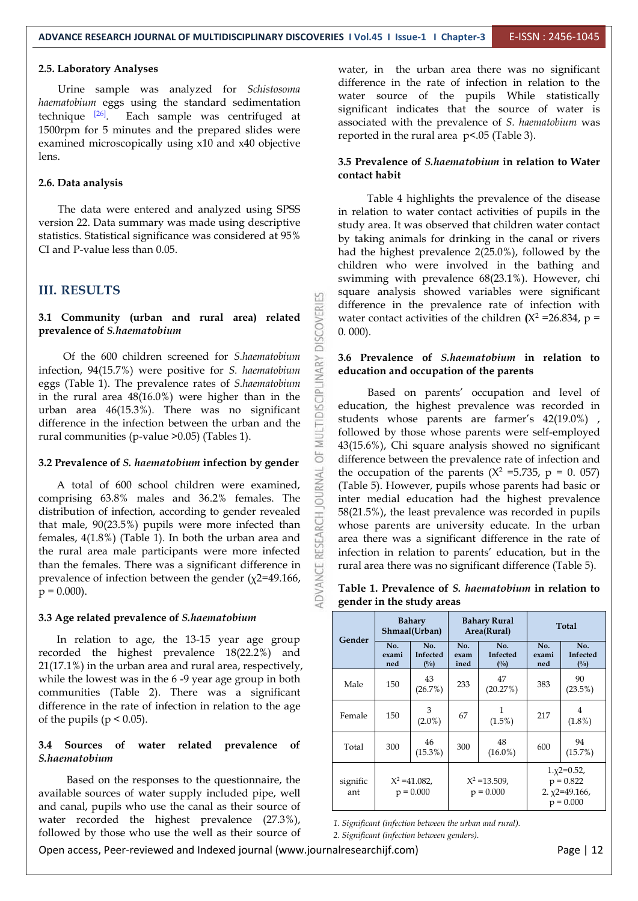#### **2.5. Laboratory Analyses**

Urine sample was analyzed for *Schistosoma haematobium* eggs using the standard sedimentation technique  $[26]$ . Each sample was centrifuged at  $\frac{126}{\sqrt{25}}$ 1500rpm for 5 minutes and the prepared slides were examined microscopically using x10 and x40 objective lens.

#### **2.6. Data analysis**

The data were entered and analyzed using SPSS version 22. Data summary was made using descriptive statistics. Statistical significance was considered at 95% CI and P-value less than 0.05.

#### **III. RESULTS**

## **3.1 Community (urban and rural area) related**<br>prevalence of *S.haematobium* **prevalence of** *S.haematobium*

Of the 600 children screened for *S.haematobium*<br>tion, 94(15.7%) were positive for *S. haematobium*<br>(Table 1). The prevalence rates of *S.haematobium*<br>e rural area 48(16.0%) were higher than in the<br>area 46(15.3%). There w infection, 94(15.7%) were positive for *S. haematobium* eggs (Table 1). The prevalence rates of *S.haematobium* in the rural area 48(16.0%) were higher than in the urban area 46(15.3%). There was no significant difference in the infection between the urban and the rural communities (p-value >0.05) (Tables 1).

**3.2 Prevalence of** *S. haematobium* **infection by gender**<br>A total of 600 school children were examined,<br>comprising 63.8% males and 36.2% females. The A total of 600 school children were examined, comprising 63.8% males and 36.2% females. The distribution of infection, according to gender revealed<br>that male, 90(23.5%) pupils were more infected than<br>females, 4(1.8%) (Table 1). In both the urban area and<br>the rural area male participants were more infected that male, 90(23.5%) pupils were more infected than females, 4(1.8%) (Table 1). In both the urban area and the rural area male participants were more infected than the females. There was a significant difference in prevalence of infection between the gender ( $\chi$ 2=49.166,  $\geq$ P = 0.000). prevalence of infection between the gender  $(\chi$ 2=49.166,  $p = 0.000$ ).

#### **3.3 Age related prevalence of** *S.haematobium*

In relation to age, the 13-15 year age group recorded the highest prevalence 18(22.2%) and 21(17.1%) in the urban area and rural area, respectively, while the lowest was in the 6 -9 year age group in both communities (Table 2). There was a significant difference in the rate of infection in relation to the age of the pupils ( $p < 0.05$ ).

#### **3.4 Sources of water related prevalence of** *S.haematobium*

Based on the responses to the questionnaire, the available sources of water supply included pipe, well and canal, pupils who use the canal as their source of water recorded the highest prevalence (27.3%), followed by those who use the well as their source of water, in the urban area there was no significant difference in the rate of infection in relation to the water source of the pupils While statistically significant indicates that the source of water is associated with the prevalence of *S. haematobium* was reported in the rural area p<.05 (Table 3).

#### **3.5 Prevalence of** *S.haematobium* **in relation to Water contact habit**

Table 4 highlights the prevalence of the disease in relation to water contact activities of pupils in the study area. It was observed that children water contact by taking animals for drinking in the canal or rivers had the highest prevalence 2(25.0%), followed by the children who were involved in the bathing and swimming with prevalence 68(23.1%). However, chi square analysis showed variables were significant difference in the prevalence rate of infection with water contact activities of the children  $(X^2 = 26.834, p =$ 0. 000).

#### **3.6 Prevalence of** *S.haematobium* **in relation to education and occupation of the parents**

Based on parents' occupation and level of education, the highest prevalence was recorded in students whose parents are farmer's 42(19.0%) , followed by those whose parents were self-employed 43(15.6%), Chi square analysis showed no significant difference between the prevalence rate of infection and the occupation of the parents ( $X^2 = 5.735$ ,  $p = 0.057$ ) (Table 5). However, pupils whose parents had basic or inter medial education had the highest prevalence 58(21.5%), the least prevalence was recorded in pupils whose parents are university educate. In the urban area there was a significant difference in the rate of infection in relation to parents' education, but in the rural area there was no significant difference (Table 5).

| Table 1. Prevalence of <i>S. haematobium</i> in relation to |  |
|-------------------------------------------------------------|--|
| gender in the study areas                                   |  |

| Gender          | <b>Bahary</b><br>Shmaal(Urban)  |                           | <b>Bahary Rural</b><br>Area(Rural) |                           | Total                                                               |                                   |  |
|-----------------|---------------------------------|---------------------------|------------------------------------|---------------------------|---------------------------------------------------------------------|-----------------------------------|--|
|                 | No.<br>exami<br>ned             | No.<br>Infected<br>$($ %) | No.<br>exam<br>ined                | No.<br>Infected<br>$($ %) | No.<br>exami<br>ned                                                 | No.<br>Infected<br>$\binom{0}{0}$ |  |
| Male            | 150                             | 43<br>(26.7%)             | 233                                | 47<br>(20.27%)            | 383                                                                 | 90<br>$(23.5\%)$                  |  |
| Female          | 150                             | 3<br>$(2.0\%)$            | 67                                 | 1<br>$(1.5\%)$            |                                                                     | 4<br>$(1.8\%)$                    |  |
| Total           | 300                             | 46<br>$(15.3\%)$          | 300                                | 48<br>$(16.0\%)$          | 600                                                                 | 94<br>$(15.7\%)$                  |  |
| signific<br>ant | $X^2 = 41.082$ ,<br>$p = 0.000$ |                           | $X^2 = 13.509$ ,<br>$p = 0.000$    |                           | $1. x2 = 0.52$<br>$p = 0.822$<br>2. $\chi$ 2=49.166,<br>$p = 0.000$ |                                   |  |

*1. Significant (infection between the urban and rural).*

*2. Significant (infection between genders).*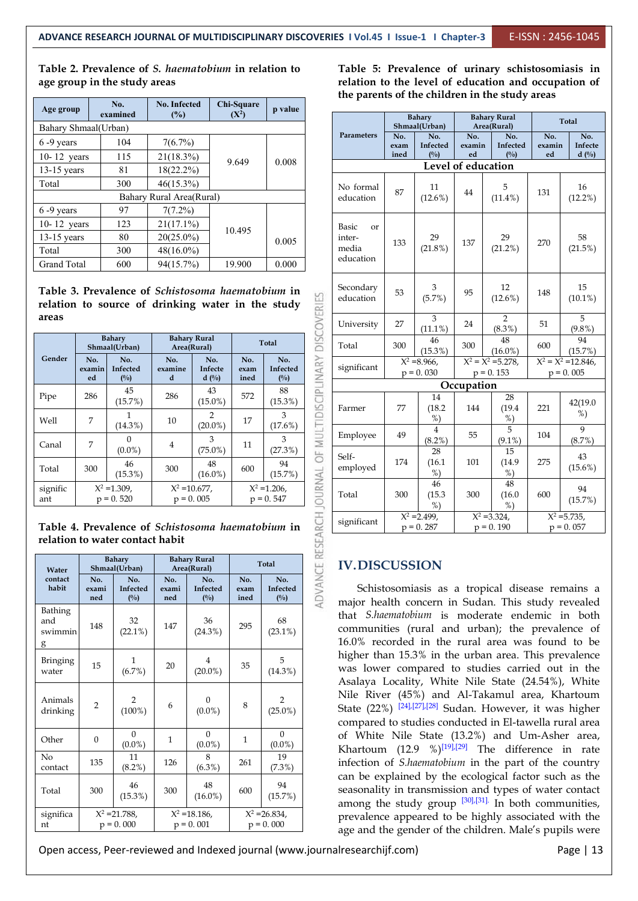**Table 2. Prevalence of** *S. haematobium* **in relation to age group in the study areas**

| Age group            | No.<br>examined | No. Infected<br>(%)      | Chi-Square<br>$(X^2)$ | p value |
|----------------------|-----------------|--------------------------|-----------------------|---------|
| Bahary Shmaal(Urban) |                 |                          |                       |         |
| $6 - 9$ years        | 104             | $7(6.7\%)$               |                       |         |
| 10-12 vears          | 115             | 21(18.3%)                | 9.649                 | 0.008   |
| $13-15$ years        | 81              | $18(22.2\%)$             |                       |         |
| Total                | 300             | $46(15.3\%)$             |                       |         |
|                      |                 | Bahary Rural Area(Rural) |                       |         |
| $6 - 9$ years        | 97              | $7(7.2\%)$               |                       |         |
| 10-12 years          | 123             | $21(17.1\%)$             | 10.495                |         |
| $13-15$ years        | 80              | $20(25.0\%)$             |                       | 0.005   |
| Total                | 300             | $48(16.0\%)$             |                       |         |
| <b>Grand Total</b>   | 600             | 94(15.7%)                | 19.900                | 0.000   |

**Table 3. Prevalence of** *Schistosoma haematobium* **in relation** to source of drinking water in the study **areas**

|                 |                     | <b>Bahary</b><br>Shmaal(Urban)   | Area(Rural)         | <b>Bahary Rural</b>              |                     | <b>Total</b>                   | DIS                  | Total             |
|-----------------|---------------------|----------------------------------|---------------------|----------------------------------|---------------------|--------------------------------|----------------------|-------------------|
| Gender          | No.<br>examin<br>ed | No.<br><b>Infected</b><br>$($ %) | No.<br>examine<br>d | No.<br><b>Infecte</b><br>$d($ %) | No.<br>exam<br>ined | No.<br>Infected<br>(%)         | <b>IDISCIPLINARY</b> | significant       |
| Pipe            | 286                 | 45<br>(15.7%)                    | 286                 | 43<br>$(15.0\%)$                 | 572                 | 88<br>$(15.3\%)$               |                      | Farmer            |
| Well            | 7                   | $(14.3\%)$                       | 10                  | 2<br>$(20.0\%)$                  | 17                  | 3<br>(17.6%)                   |                      |                   |
| Canal           | 7                   | 0<br>$(0.0\%)$                   | 4                   | 3<br>$(75.0\%)$                  | 11                  | 3<br>(27.3%)                   | MULT<br>ä            | Employee          |
| Total           | 300                 | 46<br>$(15.3\%)$                 | 300                 | 48<br>$(16.0\%)$                 | 600                 | 94<br>(15.7%)                  |                      | Self-<br>employed |
| signific<br>ant |                     | $X^2 = 1.309$ ,<br>$p = 0.520$   | $X^2 = 10.677$ ,    | $p = 0.005$                      |                     | $X^2 = 1.206$ .<br>$p = 0.547$ | <b>JOURNAL</b>       | Total             |

**Table 4. Prevalence of** *Schistosoma haematobium* **in relation to water contact habit**

| Water                          |                                 | <b>Bahary</b><br>Shmaal(Urban) |                                 | <b>Bahary Rural</b><br>Area(Rural) | <b>Total</b>                    |                                  |  |
|--------------------------------|---------------------------------|--------------------------------|---------------------------------|------------------------------------|---------------------------------|----------------------------------|--|
| contact<br>habit               | No.<br>exami<br>ned             | No.<br>Infected<br>(%)         | No.<br>exami<br>ned             | No.<br>Infected<br>(%)             | No.<br>exam<br>ined             | No.<br>Infected<br>$(^{0}/_{0})$ |  |
| Bathing<br>and<br>swimmin<br>g | 148                             | 32<br>$(22.1\%)$               | 147                             | 36<br>$(24.3\%)$                   | 295                             | 68<br>$(23.1\%)$                 |  |
| <b>Bringing</b><br>water       | 15                              | $\mathbf{1}$<br>(6.7%)         | 20                              | $\overline{4}$<br>$(20.0\%)$       | 35                              | 5<br>$(14.3\%)$                  |  |
| Animals<br>drinking            | $\overline{2}$                  | $\overline{2}$<br>$(100\%)$    | 6                               | $\Omega$<br>$(0.0\%)$              | 8                               | $\overline{2}$<br>$(25.0\%)$     |  |
| Other                          | $\theta$                        | $\theta$<br>$(0.0\%)$          | $\mathbf{1}$                    | $\theta$<br>$(0.0\%)$              | $\mathbf{1}$                    | $\Omega$<br>$(0.0\%)$            |  |
| No<br>contact                  | 135                             | 11<br>(8.2%)                   | 126                             | 8<br>$(6.3\%)$                     | 261                             | 19<br>$(7.3\%)$                  |  |
| Total                          | 300                             | 46<br>$(15.3\%)$               | 300                             | 48<br>$(16.0\%)$                   | 600                             | 94<br>(15.7%)                    |  |
| significa<br>nt                | $X^2 = 21.788$ ,<br>$p = 0.000$ |                                | $X^2 = 18.186$ ,<br>$p = 0.001$ |                                    | $X^2 = 26.834$ ,<br>$p = 0.000$ |                                  |  |

**Table 5: Prevalence of urinary schistosomiasis in relation to the level of education and occupation of the parents of the children in the study areas**

| p value                          |                                              |                                                    | <b>Bahary</b><br>Shmaal(Urban)          |                                  |                                      | <b>Bahary Rural</b><br>Area(Rural) |                                  | <b>Total</b>                             |  |  |
|----------------------------------|----------------------------------------------|----------------------------------------------------|-----------------------------------------|----------------------------------|--------------------------------------|------------------------------------|----------------------------------|------------------------------------------|--|--|
|                                  |                                              | Parameters                                         | No.<br>exam<br>ined                     | No.<br>Infected<br>$(^{0}/_{0})$ | No.<br>examin<br>ed                  | No.<br>Infected<br>$(^{0}/_{0})$   | $\overline{No.}$<br>examin<br>ed | No.<br>Infecte<br>$d($ %)                |  |  |
| 0.008                            |                                              |                                                    |                                         |                                  | Level of education                   |                                    |                                  |                                          |  |  |
|                                  |                                              | No formal<br>education                             | 87                                      | 11<br>$(12.6\%)$                 | 44                                   | 5<br>$(11.4\%)$                    | 131                              | 16<br>$(12.2\%)$                         |  |  |
| 0.005<br>0.000                   |                                              | Basic<br><b>or</b><br>inter-<br>media<br>education | 133                                     | 29<br>$(21.8\%)$                 | 137                                  | 29<br>$(21.2\%)$                   | 270                              | 58<br>$(21.5\%)$                         |  |  |
| ium in<br>study                  |                                              | Secondary<br>education                             | 53                                      | 3<br>(5.7%)                      | 95                                   | 12<br>$(12.6\%)$                   | 148                              | 15<br>$(10.1\%)$                         |  |  |
|                                  |                                              | University                                         | 27                                      | 3<br>$(11.1\%)$                  | 24                                   | $\overline{2}$<br>$(8.3\%)$        | 51                               | 5<br>$(9.8\%)$                           |  |  |
| tal                              |                                              | Total                                              | 300                                     | 46<br>$(15.3\%)$                 | 300                                  | 48<br>$(16.0\%)$                   | 600                              | 94<br>(15.7%)                            |  |  |
| No.<br>Infected<br>$(^{0}/_{0})$ |                                              | significant                                        | $\overline{X^2 = 8.966}$<br>$p = 0.030$ |                                  | $X^2 = X^2 = 5.278$ ,<br>$p = 0.153$ |                                    |                                  | $X^2 = X^2 = 12.846$ ,<br>$p = 0.005$    |  |  |
| 88                               |                                              |                                                    |                                         |                                  | Occupation                           |                                    |                                  |                                          |  |  |
| (15.3%)<br>3                     |                                              | Farmer                                             | 77                                      | 14<br>(18.2)<br>$%$ )            | 144                                  | 28<br>(19.4)<br>$%$ )              | 221                              | 42(19.0<br>%                             |  |  |
| (17.6%)<br>3                     |                                              | Employee                                           | 49                                      | $\overline{4}$<br>(8.2%)         | 55                                   | 5<br>$(9.1\%)$                     | 104                              | 9<br>(8.7%)                              |  |  |
| (27.3%)<br>94<br>(15.7%)         | RCH JOURNAL OF MULTIDISCIPLINARY DISCOVERIES | Self-<br>employed                                  | 174                                     | 28<br>(16.1)<br>$%$ )            | 101                                  | 15<br>(14.9)<br>$%$ )              | 275                              | 43<br>$(15.6\%)$                         |  |  |
| .206,<br>. 547                   |                                              | Total                                              | 300                                     | 46<br>(15.3)<br>$%$ )            | 300                                  | 48<br>(16.0)<br>$%$ )              | 600                              | 94<br>(15.7%)                            |  |  |
| ium in                           |                                              | significant                                        |                                         | $X^2 = 2.499$ ,<br>$p = 0.287$   |                                      | $X^2 = 3.324$<br>$p = 0.190$       |                                  | $\overline{X^2}$ = 5.735,<br>$p = 0.057$ |  |  |

#### **IV.DISCUSSION**

**exam** Infected Schistosomiasis as a tropical disease remains a  $68$  |  $\ldots$  $(23.1%)$  communities (rural and urban); the prevalence of 5 higher than 15.3% in the urban area. This prevalence  $(14.3%)$  was lower compared to studies carried out in the 2  $(25.0%)$  State  $(22%)$   $[24]$ , $[27]$ , $[28]$  Sudan. However, it was higher 0 | of White Nile State (13.2%) and Um-Asher area, |  $\frac{(0.0\%)}{(10.0\%)}$  Khartoum (12.9 %)<sup>[19],[29]</sup> The difference in rate  $\frac{19}{13\%}$  infection of *S.haematobium* in the part of the country  $\frac{94}{250}$  seasonality in transmission and types of water contact  $X^2 = 26.834,$  prevalence appeared to be highly associated with the  $p = 0.000$  age and the gender of the children. Male's pupils were major health concern in Sudan. This study revealed that *S.haematobium* is moderate endemic in both 16.0% recorded in the rural area was found to be Asalaya Locality, White Nile State (24.54%), White Nile River (45%) and Al-Takamul area, Khartoum compared to studies conducted in El-tawella rural area can be explained by the ecological factor such as the among the study group  $[30],[31]$ . In both communities,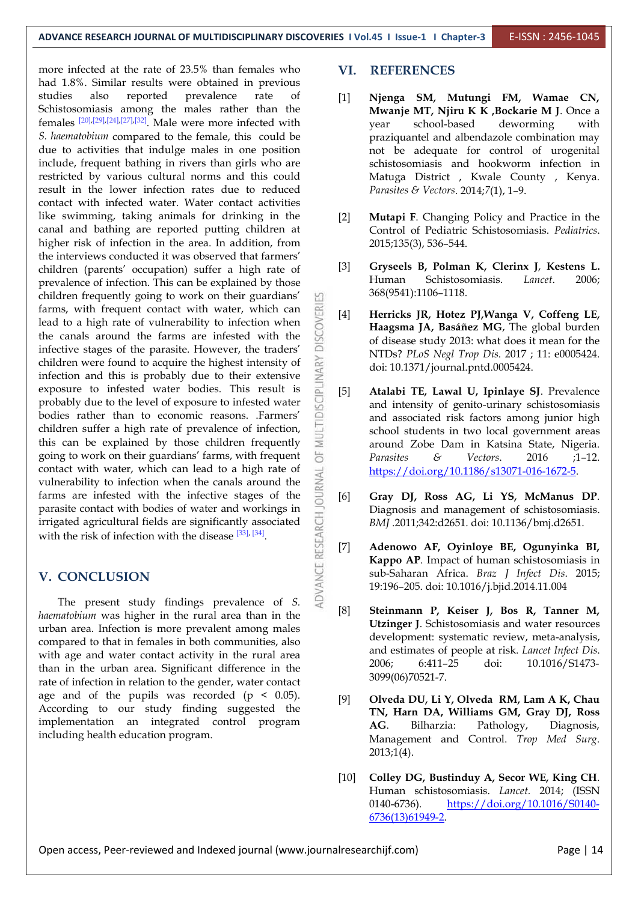more infected at the rate of 23.5% than females who **VI**. had 1.8%. Similar results were obtained in previous studies also reported prevalence rate of [1] Schistosomiasis among the males rather than the females  $[20]$ , $[29]$ , $[24]$ , $[27]$ , $[32]$ . Male were more infected with vear s *S. haematobium* compared to the female, this could be due to activities that indulge males in one position include, frequent bathing in rivers than girls who are restricted by various cultural norms and this could result in the lower infection rates due to reduced contact with infected water. Water contact activities like swimming, taking animals for drinking in the canal and bathing are reported putting children at higher risk of infection in the area. In addition, from the interviews conducted it was observed that farmers'<br>children (parents' occupation) suffer a high rate of [3] children (parents' occupation) suffer a high rate of  $[3]$  Gryseel<br>reproduce of infection This can be evaluated by those Human prevalence of infection. This can be explained by those children frequently going to work on their guardians' farms, with frequent contact with water, which can<br>lead to a high rate of vulnerability to infection when<br>the canals around the farms are infested with the lead to a high rate of vulnerability to infection when the canals around the farms are infested with the infective stages of the parasite. However, the traders' children were found to acquire the highest intensity of infection and this is probably due to their extensive exposure to infested water bodies. This result is infection and this is probably due to their extensive exposure to infested water bodies. This result is probably due to the level of exposure to infested water bodies rather than to economic reasons. Farmers' probably due to the level of exposure to infested water bodies rather than to economic reasons. .Farmers' children suffer a high rate of prevalence of infection, this can be explained by those children frequently children suffer a high rate of prevalence of infection, this can be explained by those children frequently<br>going to work on their guardians' farms, with frequent going to work on their guardians' farms, with frequent contact with water, which can lead to a high rate of vulnerability to infection when the canals around the  $\frac{2}{3}$  farms are infested with the infective stages of the vulnerability to infection when the canals around the farms are infested with the infective stages of the  $\overline{R}$  [6] parasite contact with bodies of water and workings in<br>
irrigated agricultural fields are significantly associated<br>
with the risk of infection with the disease  $\begin{bmatrix} 33 \end{bmatrix}$ ,  $\begin{bmatrix} 34 \end{bmatrix}$ .<br>
V. CONCLUSION<br>
The pres irrigated agricultural fields are significantly associated with the risk of infection with the disease  $[33]$ ,  $[34]$ .

#### **V. CONCLUSION**

The present study findings prevalence of *S*.  $\gtrless$  [8] *haematobium* was higher in the rural area than in the urban area. Infection is more prevalent among males compared to that in females in both communities, also with age and water contact activity in the rural area and equal to the rural area and the rural area and the rural area and the rural area and the rural area and the rural area and the rural area and the rural area and the than in the urban area. Significant difference in the rate of infection in relation to the gender, water contact age and of the pupils was recorded (p < 0.05). According to our study finding suggested the implementation an integrated control program  $AG$ . Bilharzia: including health education program.

#### **VI. REFERENCES**

- [1] **Njenga SM, Mutungi FM, Wamae CN, Mwanje MT, Njiru K K ,Bockarie M J**. Once a year school-based deworming with praziquantel and albendazole combination may not be adequate for control of urogenital schistosomiasis and hookworm infection in Matuga District , Kwale County , Kenya. *Parasites & Vectors*. 2014;*7*(1), 1–9.
- [2] **Mutapi F**. Changing Policy and Practice in the Control of Pediatric Schistosomiasis. *Pediatrics*. 2015;135(3), 536–544.
- [3] **Gryseels B, Polman K, Clerinx J**, **Kestens L.** Schistosomiasis. *Lancet.* 2006: 368(9541):1106–1118.
- [4] **Herricks JR, Hotez PJ,Wanga V, Coffeng LE, Haagsma JA, Basáñez MG**, The global burden of disease study 2013: what does it mean for the NTDs? *PLoS Negl Trop Dis*. 2017 ; 11: e0005424. doi: 10.1371/journal.pntd.0005424.
- [5] **Atalabi TE, Lawal U,Ipinlaye SJ**. Prevalence and intensity of genito-urinary schistosomiasis and associated risk factors among junior high school students in two local government areas around Zobe Dam in Katsina State, Nigeria. *Parasites & Vectors*. 2016 ;1–12. [https://doi.org/10.1186/s13071-016-1672-5.](https://doi.org/10.1186/s13071-016-1672-5)
- [6] **Gray DJ, Ross AG, Li YS, McManus DP**. Diagnosis and management of schistosomiasis. *BMJ* .2011;342:d2651. doi: 10.1136/bmj.d2651.
- [7] **Adenowo AF, Oyinloye BE, Ogunyinka BI, Kappo AP**. Impact of human schistosomiasis in sub-Saharan Africa. *Braz J Infect Dis*. 2015; 19:196–205. doi: 10.1016/j.bjid.2014.11.004
- [8] **Steinmann P, Keiser J, Bos R, Tanner M, Utzinger J**. Schistosomiasis and water resources development: systematic review, meta-analysis, and estimates of people at risk. *Lancet Infect Dis*. 2006; 6:411–25 doi: 10.1016/S1473- 3099(06)70521-7.
- [9] **Olveda DU, Li Y, Olveda RM, Lam A K, Chau TN, Harn DA, Williams GM, Gray DJ, Ross** Pathology, Diagnosis, Management and Control. *Trop Med Surg*. 2013;1(4).
- [10] **Colley DG, Bustinduy A, Secor WE, King CH**. Human schistosomiasis. *Lancet.* 2014; (ISSN 0140-6736). [https://doi.org/10.1016/S0140-](https://doi.org/10.1016/S0140-6736(13)61949-2) 6736(13)61949-2.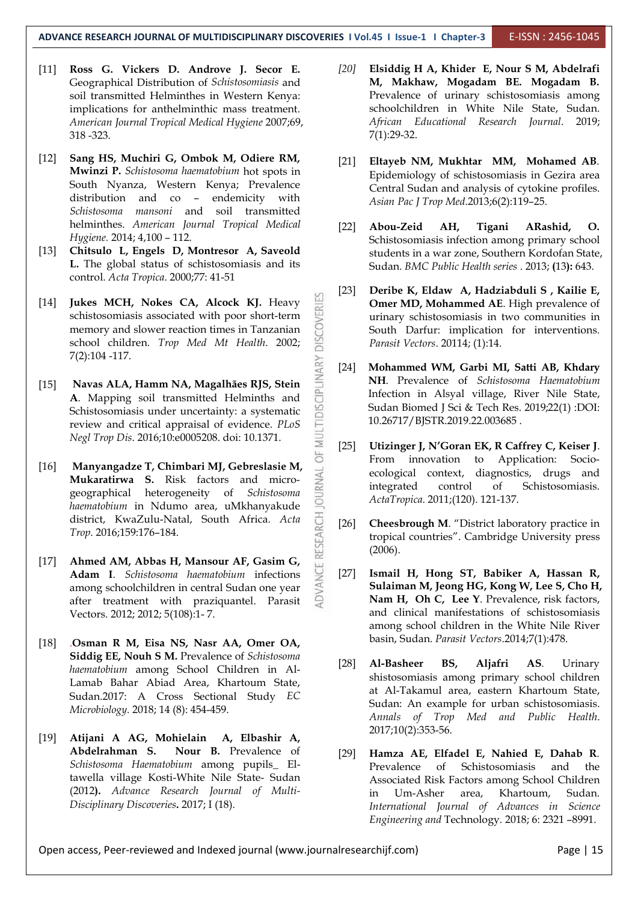- [11] **Ross G. Vickers D. Androve J. Secor E.** Geographical Distribution of *Schistosomiasis* and soil transmitted Helminthes in Western Kenya: implications for anthelminthic mass treatment. *American Journal Tropical Medical Hygiene* 2007;69, 318 -323.
- [12] **Sang HS, Muchiri G, Ombok M, Odiere RM, Mwinzi P.** *Schistosoma haematobium* hot spots in South Nyanza, Western Kenya; Prevalence distribution and co – endemicity with *Schistosoma mansoni* and soil transmitted helminthes. *American Journal Tropical Medical Hygiene.* 2014; 4,100 – 112.
- [13] **Chitsulo L, Engels D, Montresor A, Saveold L.** The global status of schistosomiasis and its control. *Acta Tropica*. 2000;77: 41-51
- [14] **Jukes MCH, Nokes CA, Alcock KJ.** Heavy schistosomiasis associated with poor short-term memory and slower reaction times in Tanzanian school children. *Trop Med Mt Health*. 2002; 7(2):104 -117.
- [15] **Navas ALA, Hamm NA, Magalhães RJS, Stein<br><b>A.** Mapping soil transmitted Helminths and<br>Schistosomiasis under uncertainty: a systematic<br>review and critical appraisal of evidence. *PLoS*<br>*Negl Trop Dis.* 2016;10:e000520 **A**. Mapping soil transmitted Helminths and Schistosomiasis under uncertainty: a systematic review and critical appraisal of evidence. *PLoS Negl Trop Dis*. 2016;10:e0005208. doi: 10.1371.
- [16] **Manyangadze T, Chimbari MJ, Gebreslasie M, Mukaratirwa S.** Risk factors and microgeographical heterogeneity of *Schistosoma haematobium* in Ndumo area, uMkhanyakude<br>district, KwaZulu-Natal, South Africa. Acta<br>Trop. 2016;159:176-184.<br>**Ahmed AM, Abbas H, Mansour AF, Gasim G, Adam I**. Schistosoma haematobium infections district, KwaZulu-Natal, South Africa*. Acta Trop*. 2016;159:176–184.
- [17] **Ahmed AM, Abbas H, Mansour AF, Gasim G, Adam I**. *Schistosoma haematobium* infections among schoolchildren in central Sudan one year after treatment with praziquantel. Parasit Vectors. 2012; 2012; 5(108):1- 7.
- [18] .**Osman R M, Eisa NS, Nasr AA, Omer OA, Siddig EE, Nouh S M.** Prevalence of *Schistosoma haematobium* among School Children in Al- Lamab Bahar Abiad Area, Khartoum State, Sudan.2017: A Cross Sectional Study *EC Microbiology.* 2018; 14 (8): 454-459.
- [19] **Atijani A AG, Mohielain A, Elbashir A, Abdelrahman S. Nour B.** Prevalence of *Schistosoma Haematobium* among pupils\_ Eltawella village Kosti-White Nile State- Sudan (2012**).** *Advance Research Journal of Multi- Disciplinary Discoveries***.** 2017; I (18).
- *[20]* **Elsiddig H A, Khider E, Nour S M, Abdelrafi M, Makhaw, Mogadam BE. Mogadam B.** Prevalence of urinary schistosomiasis among schoolchildren in White Nile State, Sudan. *African Educational Research Journal*. 2019; 7(1):29-32.
- [21] **Eltayeb NM, Mukhtar MM, Mohamed AB**. Epidemiology of schistosomiasis in Gezira area Central Sudan and analysis of cytokine profiles. *Asian Pac J Trop Med*.2013;6(2):119–25.
- [22] **Abou-Zeid AH, Tigani ARashid, O.** Schistosomiasis infection among primary school students in a war zone, Southern Kordofan State, Sudan. *BMC Public Health series* . 2013; **(**13**):** 643.
- [23] **Deribe K, Eldaw A, Hadziabduli S ,Kailie E, Omer MD, Mohammed AE**. High prevalence of urinary schistosomiasis in two communities in South Darfur: implication for interventions*. Parasit Vectors*. 20114; (1):14.
- [24] **Mohammed WM, Garbi MI, Satti AB, Khdary NH**. Prevalence of *Schistosoma Haematobium* Infection in Alsyal village, River Nile State, Sudan Biomed J Sci & Tech Res. 2019;22(1) :DOI: 10.26717/BJSTR.2019.22.003685 .
- [25] **Utizinger J, N'Goran EK, R Caffrey C, Keiser J**. From innovation to Application: Socio ecological context, diagnostics, drugs and control of Schistosomiasis. *ActaTropica*. 2011;(120). 121-137.
- **Cheesbrough M.** "District laboratory practice in tropical countries". Cambridge University press (2006).
- [27] **Ismail H, Hong ST, Babiker A, Hassan R, Sulaiman M, Jeong HG, Kong W, Lee S, Cho H, Nam H, Oh C, Lee Y**. Prevalence, risk factors, and clinical manifestations of schistosomiasis among school children in the White Nile River basin, Sudan. *Parasit Vectors*.2014;7(1):478.
- [28] **Al-Basheer BS, Aljafri AS**. Urinary shistosomiasis among primary school children at Al-Takamul area, eastern Khartoum State, Sudan: An example for urban schistosomiasis. *Annals of Trop Med and Public Health*. 2017;10(2):353-56.
- [29] **Hamza AE, Elfadel E, Nahied E, Dahab R**. Prevalence of Schistosomiasis and the Associated Risk Factors among School Children in Um-Asher area, Khartoum, Sudan. *International Journal of Advances in Science Engineering and* Technology. 2018; 6: 2321 –8991.